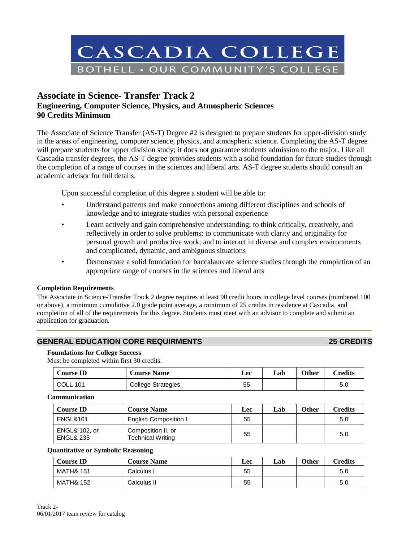

# **Associate in Science- Transfer Track 2 Engineering, Computer Science, Physics, and Atmospheric Sciences 90 Credits Minimum**

The Associate of Science Transfer (AS-T) Degree #2 is designed to prepare students for upper-division study in the areas of engineering, computer science, physics, and atmospheric science. Completing the AS-T degree will prepare students for upper division study; it does not guarantee students admission to the major. Like all Cascadia transfer degrees, the AS-T degree provides students with a solid foundation for future studies through the completion of a range of courses in the sciences and liberal arts. AS-T degree students should consult an academic advisor for full details.

Upon successful completion of this degree a student will be able to:

- Understand patterns and make connections among different disciplines and schools of knowledge and to integrate studies with personal experience
- Learn actively and gain comprehensive understanding; to think critically, creatively, and reflectively in order to solve problems; to communicate with clarity and originality for personal growth and productive work; and to interact in diverse and complex environments and complicated, dynamic, and ambiguous situations
- Demonstrate a solid foundation for baccalaureate science studies through the completion of an appropriate range of courses in the sciences and liberal arts

### **Completion Requirements**

The Associate in Science-Transfer Track 2 degree requires at least 90 credit hours in college level courses (numbered 100 or above), a minimum cumulative 2.0 grade point average, a minimum of 25 credits in residence at Cascadia, and completion of all of the requirements for this degree. Students must meet with an advisor to complete and submit an application for graduation.

## **GENERAL EDUCATION CORE REQUIRMENTS 25 CREDITS**

### **Foundations for College Success**

Must be completed within first 30 credits.

| <b>Course ID</b> | <b>Course Name</b>        | Lec | Lab | <b>Other</b> | Credits |
|------------------|---------------------------|-----|-----|--------------|---------|
| COLL 1<br>101    | <b>College Strategies</b> | 55  |     |              | 5.0     |

#### **Communication**

| <b>Course ID</b>                                 | <b>Course Name</b>                             | Lec | Lab | <b>Other</b> | Credits |
|--------------------------------------------------|------------------------------------------------|-----|-----|--------------|---------|
| <b>ENGL&amp;101</b>                              | <b>English Composition I</b>                   | 55  |     |              | 5.0     |
| <b>ENGL&amp; 102, or</b><br><b>ENGL&amp; 235</b> | Composition II, or<br><b>Technical Writing</b> | 55  |     |              | 5.0     |

#### **Quantitative or Symbolic Reasoning**

| <b>Course ID</b>     | <b>Course Name</b> | Lec | Lab | Other | <b>Credits</b> |
|----------------------|--------------------|-----|-----|-------|----------------|
| <b>MATH&amp; 151</b> | Calculus I         | 55  |     |       | 5.0            |
| <b>MATH&amp; 152</b> | Calculus II        | 55  |     |       | 5.0            |